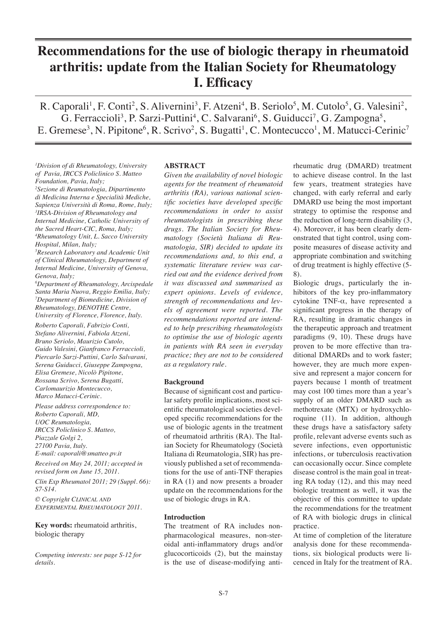# **Recommendations for the use of biologic therapy in rheumatoid arthritis: update from the Italian Society for Rheumatology I. Efficacy**

R. Caporali<sup>1</sup>, F. Conti<sup>2</sup>, S. Alivernini<sup>3</sup>, F. Atzeni<sup>4</sup>, B. Seriolo<sup>5</sup>, M. Cutolo<sup>5</sup>, G. Valesini<sup>2</sup>, G. Ferraccioli<sup>3</sup>, P. Sarzi-Puttini<sup>4</sup>, C. Salvarani<sup>6</sup>, S. Guiducci<sup>7</sup>, G. Zampogna<sup>5</sup>, E. Gremese<sup>3</sup>, N. Pipitone<sup>6</sup>, R. Scrivo<sup>2</sup>, S. Bugatti<sup>1</sup>, C. Montecucco<sup>1</sup>, M. Matucci-Cerinic<sup>7</sup>

*1 Division of di Rheumatology, University of Pavia, IRCCS Policlinico S. Matteo Foundation, Pavia, Italy; 2 Sezione di Reumatologia, Dipartimento di Medicina Interna e Specialità Mediche, Sapienza Università di Roma, Rome, Italy; 3 IRSA-Division of Rheumatology and Internal Medicine, Catholic University of the Sacred Heart-CIC, Roma, Italy; 4 Rheumatology Unit, L. Sacco University* 

*Hospital, Milan, Italy; 5 Research Laboratory and Academic Unit of Clinical Rheumatology, Department of Internal Medicine, University of Genova, Genova, Italy;*

*6 Department of Rheumatology, Arcispedale Santa Maria Nuova, Reggio Emilia, Italy; 7 Department of Biomedicine, Division of Rheumatology, DENOTHE Centre, University of Florence, Florence, Italy.*

*Roberto Caporali, Fabrizio Conti, Stefano Alivernini, Fabiola Atzeni, Bruno Seriolo, Maurizio Cutolo, Guido Valesini, Gianfranco Ferraccioli, Piercarlo Sarzi-Puttini, Carlo Salvarani, Serena Guiducci, Giuseppe Zampogna, Elisa Gremese, Nicolò Pipitone, Rossana Scrivo, Serena Bugatti, Carlomaurizio Montecucco, Marco Matucci-Cerinic.*

*Please address correspondence to: Roberto Caporali, MD, UOC Reumatologia, IRCCS Policlinico S. Matteo, Piazzale Golgi 2, 27100 Pavia, Italy. E-mail: caporali@smatteo.pv.it*

*Received on May 24, 2011; accepted in revised form on June 15, 2011.*

*Clin Exp Rheumatol 2011; 29 (Suppl. 66): S7-S14.*

*© Copyright CLINICAL AND EXPERIMENTAL RHEUMATOLOGY 2011.*

**Key words:** rheumatoid arthritis, biologic therapy

*Competing interests: see page S-12 for details.*

## **ABSTRACT**

*Given the availability of novel biologic agents for the treatment of rheumatoid arthritis (RA), various national scientific societies have developed specific recommendations in order to assist rheumatologists in prescribing these drugs. The Italian Society for Rheumatology (Società Italiana di Reumatologia, SIR) decided to update its recommendations and, to this end, a systematic literature review was carried out and the evidence derived from it was discussed and summarised as expert opinions. Levels of evidence, strength of recommendations and levels of agreement were reported. The recommendations reported are intended to help prescribing rheumatologists to optimise the use of biologic agents in patients with RA seen in everyday practice; they are not to be considered as a regulatory rule.*

## **Background**

Because of significant cost and particular safety profile implications, most scientific rheumatological societies developed specific recommendations for the use of biologic agents in the treatment of rheumatoid arthritis (RA). The Italian Society for Rheumatology (Società Italiana di Reumatologia, SIR) has previously published a set of recommendations for the use of anti-TNF therapies in RA (1) and now presents a broader update on the recommendations for the use of biologic drugs in RA.

### **Introduction**

The treatment of RA includes nonpharmacological measures, non-steroidal anti-inflammatory drugs and/or glucocorticoids (2), but the mainstay is the use of disease-modifying anti-

rheumatic drug (DMARD) treatment to achieve disease control. In the last few years, treatment strategies have changed, with early referral and early DMARD use being the most important strategy to optimise the response and the reduction of long-term disability (3, 4). Moreover, it has been clearly demonstrated that tight control, using composite measures of disease activity and appropriate combination and switching of drug treatment is highly effective (5- 8).

Biologic drugs, particularly the inhibitors of the key pro-inflammatory cytokine TNF-α, have represented a significant progress in the therapy of RA, resulting in dramatic changes in the therapeutic approach and treatment paradigms (9, 10). These drugs have proven to be more effective than traditional DMARDs and to work faster; however, they are much more expensive and represent a major concern for payers because 1 month of treatment may cost 100 times more than a year's supply of an older DMARD such as methotrexate (MTX) or hydroxychloroquine (11). In addition, although these drugs have a satisfactory safety profile, relevant adverse events such as severe infections, even opportunistic infections, or tuberculosis reactivation can occasionally occur. Since complete disease control is the main goal in treating RA today (12), and this may need biologic treatment as well, it was the objective of this committee to update the recommendations for the treatment of RA with biologic drugs in clinical practice.

At time of completion of the literature analysis done for these recommendations, six biological products were licenced in Italy for the treatment of RA.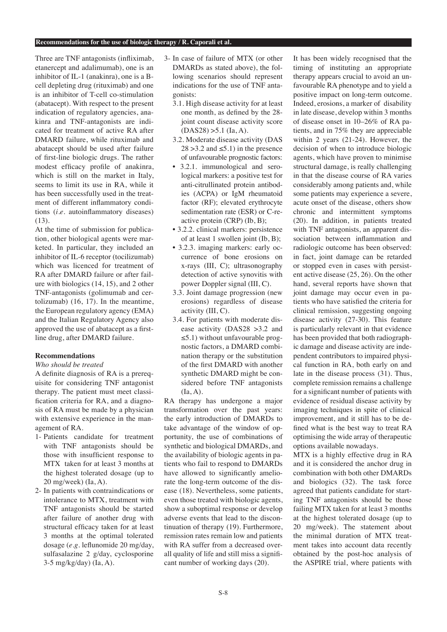Three are TNF antagonists (infliximab, etanercept and adalimumab), one is an inhibitor of IL-1 (anakinra), one is a Bcell depleting drug (rituximab) and one is an inhibitor of T-cell co-stimulation (abatacept). With respect to the present indication of regulatory agencies, anakinra and TNF-antagonists are indicated for treatment of active RA after DMARD failure, while rituximab and abatacept should be used after failure of first-line biologic drugs. The rather modest efficacy profile of anakinra, which is still on the market in Italy, seems to limit its use in RA, while it has been successfully used in the treatment of different inflammatory conditions (*i.e*. autoinflammatory diseases) (13).

At the time of submission for publication, other biological agents were marketed. In particular, they included an inhibitor of IL-6 receptor (tocilizumab) which was licenced for treatment of RA after DMARD failure or after failure with biologics (14, 15), and 2 other TNF-antagonists (golimumab and certolizumab) (16, 17). In the meantime, the European regulatory agency (EMA) and the Italian Regulatory Agency also approved the use of abatacept as a firstline drug, after DMARD failure.

## **Recommendations**

*Who should be treated*

A definite diagnosis of RA is a prerequisite for considering TNF antagonist therapy. The patient must meet classification criteria for RA, and a diagnosis of RA must be made by a physician with extensive experience in the management of RA.

- 1- Patients candidate for treatment with TNF antagonists should be those with insufficient response to MTX taken for at least 3 months at the highest tolerated dosage (up to 20 mg/week) (Ia, A).
- 2- In patients with contraindications or intolerance to MTX, treatment with TNF antagonists should be started after failure of another drug with structural efficacy taken for at least 3 months at the optimal tolerated dosage (*e.g*. leflunomide 20 mg/day, sulfasalazine 2 g/day, cyclosporine 3-5 mg/kg/day) (Ia, A).
- 3- In case of failure of MTX (or other DMARDs as stated above), the following scenarios should represent indications for the use of TNF antagonists:
	- 3.1. High disease activity for at least one month, as defined by the 28 joint count disease activity score  $(DAS28) > 5.1$  (Ia, A).
	- 3.2. Moderate disease activity (DAS  $28 > 3.2$  and  $\le 5.1$ ) in the presence of unfavourable prognostic factors:
	- 3.2.1. immunological and serological markers: a positive test for anti-citrullinated protein antibodies (ACPA) or IgM rheumatoid factor (RF); elevated erythrocyte sedimentation rate (ESR) or C-reactive protein (CRP) (Ib, B);
	- 3.2.2. clinical markers: persistence of at least 1 swollen joint (Ib, B);
	- 3.2.3. imaging markers: early occurrence of bone erosions on x-rays (III, C); ultrasonography detection of active synovitis with power Doppler signal (III, C).
	- 3.3. Joint damage progression (new erosions) regardless of disease activity (III, C).
	- 3.4. For patients with moderate disease activity (DAS28 >3.2 and  $\leq$ 5.1) without unfavourable prognostic factors, a DMARD combination therapy or the substitution of the first DMARD with another synthetic DMARD might be considered before TNF antagonists  $(Ia, A)$ .

RA therapy has undergone a major transformation over the past years: the early introduction of DMARDs to take advantage of the window of opportunity, the use of combinations of synthetic and biological DMARDs, and the availability of biologic agents in patients who fail to respond to DMARDs have allowed to significantly ameliorate the long-term outcome of the disease (18). Nevertheless, some patients, even those treated with biologic agents, show a suboptimal response or develop adverse events that lead to the discontinuation of therapy (19). Furthermore, remission rates remain low and patients with RA suffer from a decreased overall quality of life and still miss a significant number of working days (20).

It has been widely recognised that the timing of instituting an appropriate therapy appears crucial to avoid an unfavourable RA phenotype and to yield a positive impact on long-term outcome. Indeed, erosions, a marker of disability in late disease, develop within 3 months of disease onset in 10–26% of RA patients, and in 75% they are appreciable within 2 years (21-24). However, the decision of when to introduce biologic agents, which have proven to minimise structural damage, is really challenging in that the disease course of RA varies considerably among patients and, while some patients may experience a severe, acute onset of the disease, others show chronic and intermittent symptoms (20). In addition, in patients treated with TNF antagonists, an apparent dissociation between inflammation and radiologic outcome has been observed: in fact, joint damage can be retarded or stopped even in cases with persistent active disease (25, 26). On the other hand, several reports have shown that joint damage may occur even in patients who have satisfied the criteria for clinical remission, suggesting ongoing disease activity (27-30). This feature is particularly relevant in that evidence has been provided that both radiographic damage and disease activity are independent contributors to impaired physical function in RA, both early on and late in the disease process (31). Thus, complete remission remains a challenge for a significant number of patients with evidence of residual disease activity by imaging techniques in spite of clinical improvement, and it still has to be defined what is the best way to treat RA optimising the wide array of therapeutic options available nowadays.

MTX is a highly effective drug in RA and it is considered the anchor drug in combination with both other DMARDs and biologics (32). The task force agreed that patients candidate for starting TNF antagonists should be those failing MTX taken for at least 3 months at the highest tolerated dosage (up to 20 mg/week). The statement about the minimal duration of MTX treatment takes into account data recently obtained by the post-hoc analysis of the ASPIRE trial, where patients with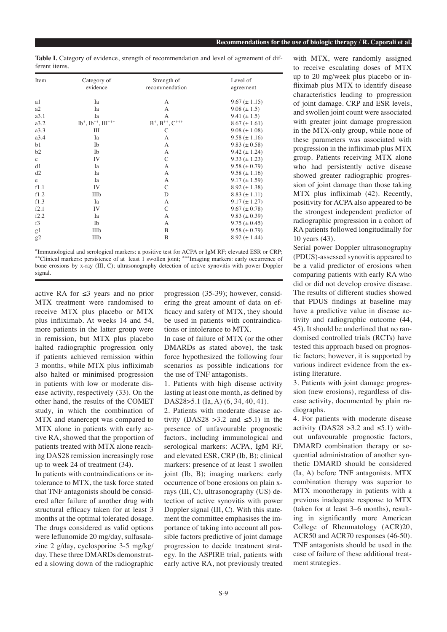|               | Table I. Category of evidence, strength of recommendation and level of agreement of dif- |  |  |  |  |  |
|---------------|------------------------------------------------------------------------------------------|--|--|--|--|--|
| ferent items. |                                                                                          |  |  |  |  |  |

| Item        | Category of<br>evidence    | Strength of<br>recommendation                   | Level of<br>agreement |  |
|-------------|----------------------------|-------------------------------------------------|-----------------------|--|
| a1          | Ia                         | А                                               | $9.67 \ (\pm 1.15)$   |  |
| a2          | Ia                         | A                                               | $9.08 (\pm 1.5)$      |  |
| a3.1        | Ia                         | A                                               | $9.41 (\pm 1.5)$      |  |
| a3.2        | $Ib^*, Ib^{**}, III^{***}$ | $\mathbf{B}^*,\mathbf{B}^{**},\mathbf{C}^{***}$ | $8.67 \ (\pm 1.61)$   |  |
| a3.3        | Ш                          | С                                               | $9.08 (\pm 1.08)$     |  |
| a3.4        | Ia                         | A                                               | $9.58 (\pm 1.16)$     |  |
| b1          | Ib                         | A                                               | $9.83 \ (\pm 0.58)$   |  |
| b2          | Ib                         | А                                               | $9.42 (\pm 1.24)$     |  |
| $\mathbf c$ | IV                         | C                                               | $9.33 (\pm 1.23)$     |  |
| d1          | Ia                         | A                                               | $9.58 (\pm 0.79)$     |  |
| d2          | Ia                         | A                                               | $9.58 (\pm 1.16)$     |  |
| $\rm e$     | Ia                         | А                                               | $9.17 \ (\pm 1.59)$   |  |
| f1.1        | IV                         | C                                               | $8.92 \ (\pm 1.38)$   |  |
| f1.2        | IIIb                       | D                                               | $8.83 \ (\pm 1.11)$   |  |
| f1.3        | Ia                         | A                                               | $9.17 \ (\pm 1.27)$   |  |
| f2.1        | IV                         | C                                               | $9.67 \ (\pm 0.78)$   |  |
| f2.2        | Ia                         | A                                               | $9.83 \ (\pm 0.39)$   |  |
| f3          | Ib                         | A                                               | $9.75 \ (\pm 0.45)$   |  |
| g1          | IIIb                       | B                                               | $9.58 (\pm 0.79)$     |  |
| g2          | IIIb                       | B                                               | $8.92 (\pm 1.44)$     |  |

\*Immunological and serological markers: a positive test for ACPA or IgM RF; elevated ESR or CRP; \*\*Clinical markers: persistence of at least 1 swollen joint; \*\*\*Imaging markers: early occurrence of bone erosions by x-ray (III, C); ultrasonography detection of active synovitis with power Doppler signal.

active RA for ≤3 years and no prior MTX treatment were randomised to receive MTX plus placebo or MTX plus infliximab. At weeks 14 and 54, more patients in the latter group were in remission, but MTX plus placebo halted radiographic progression only if patients achieved remission within 3 months, while MTX plus infliximab also halted or minimised progression in patients with low or moderate disease activity, respectively (33). On the other hand, the results of the COMET study, in which the combination of MTX and etanercept was compared to MTX alone in patients with early active RA, showed that the proportion of patients treated with MTX alone reaching DAS28 remission increasingly rose up to week 24 of treatment (34).

In patients with contraindications or intolerance to MTX, the task force stated that TNF antagonists should be considered after failure of another drug with structural efficacy taken for at least 3 months at the optimal tolerated dosage. The drugs considered as valid options were leflunomide 20 mg/day, sulfasalazine 2 g/day, cyclosporine 3-5 mg/kg/ day. These three DMARDs demonstrated a slowing down of the radiographic

progression (35-39); however, considering the great amount of data on efficacy and safety of MTX, they should be used in patients with contraindications or intolerance to MTX.

In case of failure of MTX (or the other DMARDs as stated above), the task force hypothesized the following four scenarios as possible indications for the use of TNF antagonists.

1. Patients with high disease activity lasting at least one month, as defined by DAS28>5.1 (Ia, A) (6, 34, 40, 41).

2. Patients with moderate disease activity (DAS28 > 3.2 and  $\leq 5.1$ ) in the presence of unfavourable prognostic factors, including immunological and serological markers: ACPA, IgM RF, and elevated ESR, CRP (Ib, B); clinical markers: presence of at least 1 swollen joint (Ib, B); imaging markers: early occurrence of bone erosions on plain xrays (III, C), ultrasonography (US) detection of active synovitis with power Doppler signal (III, C). With this statement the committee emphasises the importance of taking into account all possible factors predictive of joint damage progression to decide treatment strategy. In the ASPIRE trial, patients with early active RA, not previously treated with MTX, were randomly assigned to receive escalating doses of MTX up to 20 mg/week plus placebo or infliximab plus MTX to identify disease characteristics leading to progression of joint damage. CRP and ESR levels, and swollen joint count were associated with greater joint damage progression in the MTX-only group, while none of these parameters was associated with progression in the infliximab plus MTX group. Patients receiving MTX alone who had persistently active disease showed greater radiographic progression of joint damage than those taking MTX plus infliximab (42). Recently, positivity for ACPA also appeared to be the strongest independent predictor of radiographic progression in a cohort of RA patients followed longitudinally for 10 years (43).

Serial power Doppler ultrasonography (PDUS)-assessed synovitis appeared to be a valid predictor of erosions when comparing patients with early RA who did or did not develop erosive disease. The results of different studies showed that PDUS findings at baseline may have a predictive value in disease activity and radiographic outcome (44, 45). It should be underlined that no randomised controlled trials (RCTs) have tested this approach based on prognostic factors; however, it is supported by various indirect evidence from the existing literature.

3. Patients with joint damage progression (new erosions), regardless of disease activity, documented by plain radiographs.

4. For patients with moderate disease activity (DAS28 > 3.2 and  $\leq 5.1$ ) without unfavourable prognostic factors, DMARD combination therapy or sequential administration of another synthetic DMARD should be considered (Ia, A) before TNF antagonists. MTX combination therapy was superior to MTX monotherapy in patients with a previous inadequate response to MTX (taken for at least 3–6 months), resulting in significantly more American College of Rheumatology (ACR)20, ACR50 and ACR70 responses (46-50). TNF antagonists should be used in the case of failure of these additional treatment strategies.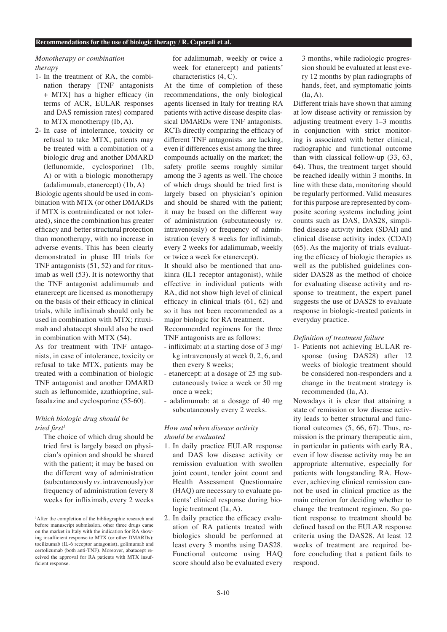# *Monotherapy or combination therapy*

- 1- In the treatment of RA, the combination therapy [TNF antagonists + MTX] has a higher efficacy (in terms of ACR, EULAR responses and DAS remission rates) compared to MTX monotherapy (Ib, A).
- 2- In case of intolerance, toxicity or refusal to take MTX, patients may be treated with a combination of a biologic drug and another DMARD (leflunomide, cyclosporine) (1b, A) or with a biologic monotherapy (adalimumab, etanercept) (1b, A)

Biologic agents should be used in combination with MTX (or other DMARDs if MTX is contraindicated or not tolerated), since the combination has greater efficacy and better structural protection than monotherapy, with no increase in adverse events. This has been clearly demonstrated in phase III trials for TNF antagonists (51, 52) and for rituximab as well (53). It is noteworthy that the TNF antagonist adalimumab and etanercept are licensed as monotherapy on the basis of their efficacy in clinical trials, while infliximab should only be used in combination with MTX; rituximab and abatacept should also be used in combination with MTX (54).

As for treatment with TNF antagonists, in case of intolerance, toxicity or refusal to take MTX, patients may be treated with a combination of biologic TNF antagonist and another DMARD such as leflunomide, azathioprine, sulfasalazine and cyclosporine (55-60).

# *Which biologic drug should be tried first1*

The choice of which drug should be tried first is largely based on physician's opinion and should be shared with the patient; it may be based on the different way of administration (subcutaneously *vs.* intravenously) or frequency of administration (every 8 weeks for infliximab, every 2 weeks

for adalimumab, weekly or twice a week for etanercept) and patients' characteristics (4, C).

At the time of completion of these recommendations, the only biological agents licensed in Italy for treating RA patients with active disease despite classical DMARDs were TNF antagonists. RCTs directly comparing the efficacy of different TNF antagonists are lacking, even if differences exist among the three compounds actually on the market; the safety profile seems roughly similar among the 3 agents as well. The choice of which drugs should be tried first is largely based on physician's opinion and should be shared with the patient; it may be based on the different way of administration (subcutaneously *vs.*  intravenously) or frequency of administration (every 8 weeks for infliximab, every 2 weeks for adalimumab, weekly or twice a week for etanercept).

It should also be mentioned that anakinra (IL1 receptor antagonist), while effective in individual patients with RA, did not show high level of clinical efficacy in clinical trials (61, 62) and so it has not been recommended as a major biologic for RA treatment.

Recommended regimens for the three TNF antagonists are as follows:

- infliximab: at a starting dose of 3 mg/ kg intravenously at week 0, 2, 6, and then every 8 weeks;
- etanercept: at a dosage of 25 mg subcutaneously twice a week or 50 mg once a week;
- adalimumab: at a dosage of 40 mg subcutaneously every 2 weeks.

## *How and when disease activity should be evaluated*

- 1. In daily practice EULAR response and DAS low disease activity or remission evaluation with swollen joint count, tender joint count and Health Assessment Questionnaire (HAQ) are necessary to evaluate patients' clinical response during biologic treatment (Ia, A).
- 2. In daily practice the efficacy evaluation of RA patients treated with biologics should be performed at least every 3 months using DAS28. Functional outcome using HAQ score should also be evaluated every

3 months, while radiologic progression should be evaluated at least every 12 months by plan radiographs of hands, feet, and symptomatic joints (Ia, A).

Different trials have shown that aiming at low disease activity or remission by adjusting treatment every 1–3 months in conjunction with strict monitoring is associated with better clinical, radiographic and functional outcome than with classical follow-up (33, 63, 64). Thus, the treatment target should be reached ideally within 3 months. In line with these data, monitoring should be regularly performed. Valid measures for this purpose are represented by composite scoring systems including joint counts such as DAS, DAS28, simplified disease activity index (SDAI) and clinical disease activity index (CDAI) (65). As the majority of trials evaluating the efficacy of biologic therapies as well as the published guidelines consider DAS28 as the method of choice for evaluating disease activity and response to treatment, the expert panel suggests the use of DAS28 to evaluate response in biologic-treated patients in everyday practice.

### *Definition of treatment failure*

1- Patients not achieving EULAR response (using DAS28) after 12 weeks of biologic treatment should be considered non-responders and a change in the treatment strategy is recommended (Ia, A).

Nowadays it is clear that attaining a state of remission or low disease activity leads to better structural and functional outcomes (5, 66, 67). Thus, remission is the primary therapeutic aim, in particular in patients with early RA, even if low disease activity may be an appropriate alternative, especially for patients with longstanding RA. However, achieving clinical remission cannot be used in clinical practice as the main criterion for deciding whether to change the treatment regimen. So patient response to treatment should be defined based on the EULAR response criteria using the DAS28. At least 12 weeks of treatment are required before concluding that a patient fails to respond.

<sup>1</sup> After the completion of the bibliographic research and before manuscript submission, other three drugs came on the market in Italy with the indication for RA showing insufficient response to MTX (or other DMARDs): tocilizumab (IL-6 receptor antagonist), golimumab and certolizumab (both anti-TNF). Moreover, abatacept received the approval for RA patients with MTX insufficient response.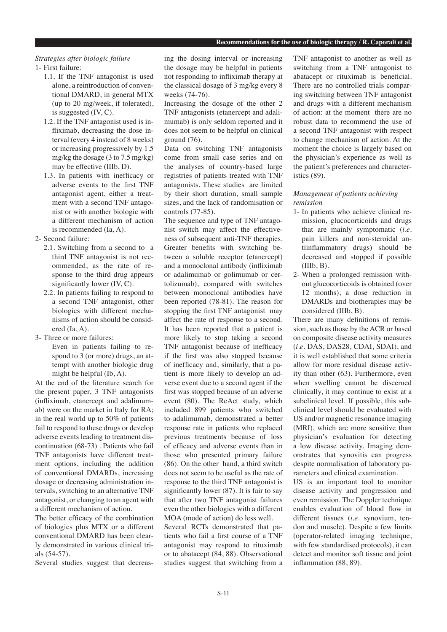# *Strategies after biologic failure*

1- First failure:

- 1.1. If the TNF antagonist is used alone, a reintroduction of conventional DMARD, in general MTX (up to 20 mg/week, if tolerated), is suggested (IV, C).
- 1.2. If the TNF antagonist used is infliximab, decreasing the dose interval (every 4 instead of 8 weeks) or increasing progressively by 1.5 mg/kg the dosage (3 to 7.5 mg/kg) may be effective (IIIb, D).
- 1.3. In patients with inefficacy or adverse events to the first TNF antagonist agent, either a treatment with a second TNF antagonist or with another biologic with a different mechanism of action is recommended (Ia, A).
- 2- Second failure:
	- 2.1. Switching from a second to a third TNF antagonist is not recommended, as the rate of response to the third drug appears significantly lower (IV, C).
	- 2.2. In patients failing to respond to a second TNF antagonist, other biologics with different mechanisms of action should be considered (Ia, A).
- 3- Three or more failures: Even in patients failing to respond to 3 (or more) drugs, an attempt with another biologic drug might be helpful (Ib, A).

At the end of the literature search for the present paper, 3 TNF antagonists (infliximab, etanercept and adalimumab) were on the market in Italy for RA; in the real world up to 50% of patients fail to respond to these drugs or develop adverse events leading to treatment discontinuation (68-73) . Patients who fail TNF antagonists have different treatment options, including the addition of conventional DMARDs, increasing dosage or decreasing administration intervals, switching to an alternative TNF antagonist, or changing to an agent with a different mechanism of action.

The better efficacy of the combination of biologics plus MTX or a different conventional DMARD has been clearly demonstrated in various clinical trials (54-57).

Several studies suggest that decreas-

ing the dosing interval or increasing the dosage may be helpful in patients not responding to infliximab therapy at the classical dosage of 3 mg/kg every 8 weeks (74-76).

- Increasing the dosage of the other 2 TNF antagonists (etanercept and adalimumab) is only seldom reported and it does not seem to be helpful on clinical ground (76).
- Data on switching TNF antagonists come from small case series and on the analyses of country-based large registries of patients treated with TNF antagonists. These studies are limited by their short duration, small sample sizes, and the lack of randomisation or controls (77-85).

The sequence and type of TNF antagonist switch may affect the effectiveness of subsequent anti-TNF therapies. Greater benefits with switching between a soluble receptor (etanercept) and a monoclonal antibody (infliximab or adalimumab or golimumab or certolizumab), compared with switches between monoclonal antibodies have been reported (78-81). The reason for stopping the first TNF antagonist may affect the rate of response to a second. It has been reported that a patient is more likely to stop taking a second TNF antagonist because of inefficacy if the first was also stopped because of inefficacy and, similarly, that a patient is more likely to develop an adverse event due to a second agent if the first was stopped because of an adverse event (80). The ReAct study, which included 899 patients who switched to adalimumab, demonstrated a better response rate in patients who replaced previous treatments because of loss of efficacy and adverse events than in those who presented primary failure (86). On the other hand, a third switch does not seem to be useful as the rate of response to the third TNF antagonist is significantly lower (87). It is fair to say that after two TNF antagonist failures even the other biologics with a different MOA (mode of action) do less well.

Several RCTs demonstrated that patients who fail a first course of a TNF antagonist may respond to rituximab or to abatacept (84, 88). Observational studies suggest that switching from a TNF antagonist to another as well as switching from a TNF antagonist to abatacept or rituximab is beneficial. There are no controlled trials comparing switching between TNF antagonist and drugs with a different mechanism of action: at the moment there are no robust data to recommend the use of a second TNF antagonist with respect to change mechanism of action. At the moment the choice is largely based on the physician's experience as well as the patient's preferences and characteristics (89).

# *Management of patients achieving remission*

- 1- In patients who achieve clinical remission, glucocorticoids and drugs that are mainly symptomatic (*i.e*. pain killers and non-steroidal antiinflammatory drugs) should be decreased and stopped if possible  $(IIIb, B)$ .
- 2- When a prolonged remission without glucocorticoids is obtained (over 12 months), a dose reduction in DMARDs and biotherapies may be considered (IIIb, B).

There are many definitions of remission, such as those by the ACR or based on composite disease activity measures (*i.e*. DAS, DAS28, CDAI, SDAI), and it is well established that some criteria allow for more residual disease activity than other (63). Furthermore, even when swelling cannot be discerned clinically, it may continue to exist at a subclinical level. If possible, this subclinical level should be evaluated with US and/or magnetic resonance imaging (MRI), which are more sensitive than physician's evaluation for detecting a low disease activity. Imaging demonstrates that synovitis can progress despite normalisation of laboratory parameters and clinical examination.

US is an important tool to monitor disease activity and progression and even remission. The Doppler technique enables evaluation of blood flow in different tissues (*i.e*. synovium, tendon and muscle). Despite a few limits (operator-related imaging technique, with few standardised protocols), it can detect and monitor soft tissue and joint inflammation (88, 89).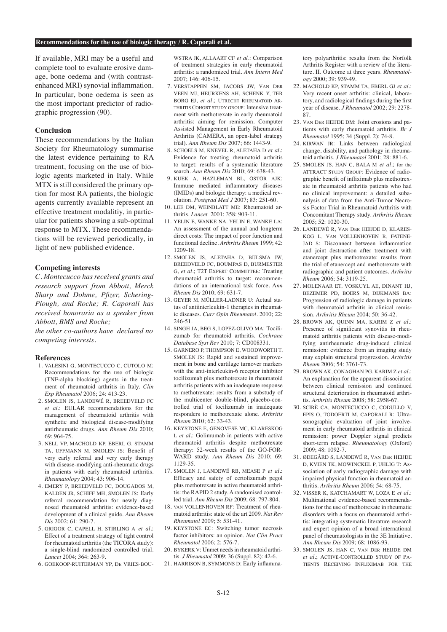If available, MRI may be a useful and complete tool to evaluate erosive damage, bone oedema and (with contrastenhanced MRI) synovial inflammation. In particular, bone oedema is seen as the most important predictor of radiographic progression (90).

## **Conclusion**

These recommendations by the Italian Society for Rheumatology summarise the latest evidence pertaining to RA treatment, focusing on the use of biologic agents marketed in Italy. While MTX is still considered the primary option for most RA patients, the biologic agents currently available represent an effective treatment modalitiy, in particular for patients showing a sub-optimal response to MTX. These recommendations will be reviewed periodically, in light of new published evidence.

## **Competing interests**

*C. Montecucco has received grants and research support from Abbott, Merck Sharp and Dohme, Pfizer, Schering-Plough, and Roche; R. Caporali has received honoraria as a speaker from Abbott, BMS and Roche;* 

*the other co-authors have declared no competing interests.*

### **References**

- 1. VALESINI G, MONTECUCCO C, CUTOLO M: Recommendations for the use of biologic (TNF-alpha blocking) agents in the treatment of rheumatoid arthritis in Italy. *Clin Exp Rheumatol* 2006; 24: 413-23.
- 2. SMOLEN JS, LANDEWÉ R, BREEDVELD FC *et al.*: EULAR recommendations for the management of rheumatoid arthritis with synthetic and biological disease-modifying antirheumatic drugs. *Ann Rheum Dis* 2010; 69: 964-75.
- 3. NELL VP, MACHOLD KP, EBERL G, STAMM TA, UFFMANN M, SMOLEN JS: Benefit of very early referral and very early therapy with disease-modifying anti-rheumatic drugs in patients with early rheumatoid arthritis. *Rheumatology* 2004; 43: 906-14.
- 4. EMERY P, BREEDVELD FC, DOUGADOS M, KALDEN JR, SCHIFF MH, SMOLEN JS: Early referral recommendation for newly diagnosed rheumatoid arthritis: evidence-based development of a clinical guide. *Ann Rheum Dis* 2002; 61: 290-7.
- 5. GRIGOR C, CAPELL H, STIRLING A *et al.*: Effect of a treatment strategy of tight control for rheumatoid arthritis (the TICORA study): a single-blind randomized controlled trial. *Lancet* 2004; 364: 263-9.
- 6. GOEKOOP-RUITERMAN YP, DE VRIES-BOU-

WSTRA JK, ALLAART CF *et al.*: Comparison of treatment strategies in early rheumatoid arthritis: a randomized trial. *Ann Intern Med* 2007; 146: 406-15.

- 7. VERSTAPPEN SM, JACOBS JW, VAN DER VEEN MJ, HEURKENS AH, SCHENK Y, TER BORG EJ, *et al.*; UTRECHT RHEUMATOID AR-THRITIS COHORT STUDY GROUP: Intensive treatment with methotrexate in early rheumatoid arthritis: aiming for remission. Computer Assisted Management in Early Rheumatoid Arthritis (CAMERA, an open-label strategy trial). *Ann Rheum Dis* 2007; 66: 1443-9.
- 8. SCHOELS M, KNEVEL R, ALETAHA D *et al.*: Evidence for treating rheumatoid arthritis to target: results of a systematic literature search. *Ann Rheum Dis* 2010; 69: 638-43.
- 9. KUEK A, HAZLEMAN BL, ÖSTÖR AJK: Immune mediated inflammatory diseases (IMIDs) and biologic therapy: a medical revolution. *Postgrad Med J* 2007; 83: 251-60.
- 10. LEE DM, WEINBLATT ME: Rheumatoid arthritis. *Lancet* 2001: 358: 903-11.
- 11. YELIN E, WANKE NA. YELIN E, WANKE LA: An assessment of the annual and longterm direct costs: The impact of poor function and functional decline. *Arthritis Rheum* 1999; 42: 1209-18.
- 12. SMOLEN JS, ALETAHA D, BIJLSMA JW, BREEDVELD FC, BOUMPAS D, BURMESTER G, *et al.*; T2T EXPERT COMMITTEE: Treating rheumatoid arthritis to target: recommendations of an international task force. A*nn Rheum Dis* 2010; 69: 631-7.
- 13. GEYER M, MÜLLER-LADNER U: Actual status of antiinterleukin-1 therapies in rheumatic diseases. *Curr Opin Rheumatol*. 2010; 22: 246-51.
- 14. SINGH JA, BEG S, LOPEZ-OLIVO MA: Tocilizumab for rheumatoid arthritis. *Cochrane Database Syst Rev* 2010; 7: CD008331.
- 15. GARNERO P, THOMPSON E, WOODWORTH T, SMOLEN JS: Rapid and sustained improvement in bone and cartilage turnover markers with the anti-interleukin-6 receptor inhibitor tocilizumab plus methotrexate in rheumatoid arthritis patients with an inadequate response to methotrexate: results from a substudy of the multicenter double-blind, placebo-controlled trial of tocilizumab in inadequate responders to methotrexate alone. *Arthritis Rheum* 2010; 62: 33-43.
- 16. KEYSTONE E, GENOVESE MC, KLARESKOG L *et al.*: Golimumab in patients with active rheumatoid arthritis despite methotrexate therapy: 52-week results of the GO-FOR-WARD study. *Ann Rheum Dis* 2010; 69: 1129-35.
- 17. SMOLEN J, LANDEWÉ RB, MEASE P *et al.*: Efficacy and safety of certolizumab pegol plus methotrexate in active rheumatoid arthritis: the RAPID 2 study. A randomised controlled trial. *Ann Rheum Dis* 2009; 68: 797-804.
- 18. VAN VOLLENHOVEN RF: Treatment of rheumatoid arthritis: state of the art 2009. *Nat Rev Rheumatol* 2009; 5: 531-41.
- 19. KEYSTONE EC: Switching tumor necrosis factor inhibitors: an opinion. *Nat Clin Pract Rheumatol* 2006; 2: 576-7.
- 20. BYKERK V: Unmet needs in rheumatoid arthritis. *J Rheumatol* 2009; 36 (Suppl. 82): 42-6.
- 21. HARRISON B, SYMMONS D: Early inflamma-

tory polyarthritis: results from the Norfolk Arthritis Register with a review of the literature. II. Outcome at three years. *Rheumatology* 2000; 39: 939-49.

- 22. MACHOLD KP, STAMM TA, EBERL GJ *et al.*: Very recent onset arthritis: clinical, laboratory, and radiological findings during the first year of disease. *J Rheumatol* 2002; 29: 2278- 87.
- 23. VAN DER HEIJDE DM: Joint erosions and patients with early rheumatoid arthritis. *Br J Rheumatol* 1995; 34 (Suppl. 2): 74-8.
- 24. KIRWAN JR: Links between radiological change, disability, and pathology in rheumatoid arthritis. *J Rheumatol* 2001; 28: 881-6.
- 25. SMOLEN JS, HAN C, BALA M *et al.*; for the ATTRACT STUDY GROUP: Evidence of radiographic benefit of infliximab plus methotrexate in rheumatoid arthritis patients who had no clinical improvement: a detailed subanalysis of data from the Anti-Tumor Necrosis Factor Trial in Rheumatoid Arthritis with Concomitant Therapy study. *Arthritis Rheum*  $2005: 52: 1020-30$
- 26. LANDEWÉ R, VAN DER HEIJDE D, KLARES-KOG L, VAN VOLLENHOVEN R, FATENE-JAD S: Disconnect between inflammation and joint destruction after treatment with etanercept plus methotrexate: results from the trial of etanercept and methotrexate with radiographic and patient outcomes. *Arthritis Rheum* 2006; 54: 3119-25.
- 27. MOLENAAR ET, VOSKUYL AE, DINANT HJ, BEZEMER PD, BOERS M, DIJKMANS BA: Progression of radiologic damage in patients with rheumatoid arthritis in clinical remission. *Arthritis Rheum* 2004; 50: 36-42.
- 28. BROWN AK, QUINN MA, KARIM Z *et al.*: Presence of significant synovitis in rheumatoid arthritis patients with disease-modifying antirheumatic drug-induced clinical remission: evidence from an imaging study may explain structural progression. *Arthritis Rheum* 2006; 54: 3761-73.
- 29. BROWN AK, CONAGHAN PG, KARIM Z *et al.*: An explanation for the apparent dissociation between clinical remission and continued structural deterioration in rheumatoid arthritis. *Arthritis Rheum* 2008; 58: 2958-67.
- 30. SCIRÈ CA, MONTECUCCO C, CODULLO V, EPIS O, TODOERTI M, CAPORALI R: Ultrasonographic evaluation of joint involvement in early rheumatoid arthritis in clinical remission: power Doppler signal predicts short-term relapse. *Rheumatology* (Oxford) 2009; 48: 1092-7.
- 31. ØDEGÅRD S, LANDEWÉ R, VAN DER HEIJDE D, KVIEN TK, MOWINCKEL P, UHLIG T: Association of early radiographic damage with impaired physical function in rheumatoid arthritis. *Arthritis Rheum* 2006; 54: 68-75.
- 32. VISSER K, KATCHAMART W, LOZA E *et al.*: Multinational evidence-based recommendations for the use of methotrexate in rheumatic disorders with a focus on rheumatoid arthritis: integrating systematic literature research and expert opinion of a broad international panel of rheumatologists in the 3E Initiative. *Ann Rheum Dis* 2009; 68: 1086-93.
- 33. SMOLEN JS, HAN C, VAN DER HEIJDE DM *et al*.; ACTIVE-CONTROLLED STUDY OF PA-TIENTS RECEIVING INFLIXIMAB FOR THE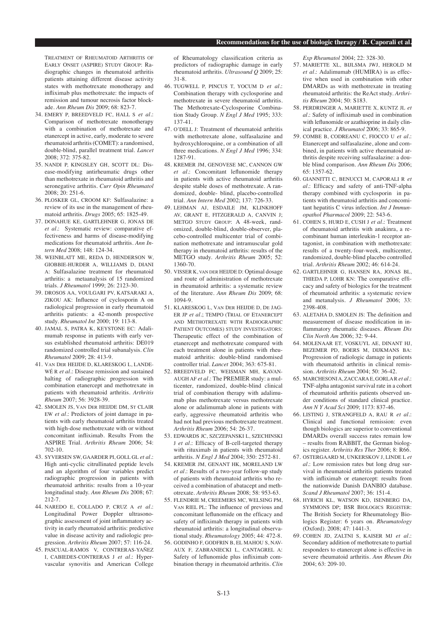TREATMENT OF RHEUMATOID ARTHRITIS OF EARLY ONSET (ASPIRE) STUDY GROUP: Radiographic changes in rheumatoid arthritis patients attaining different disease activity states with methotrexate monotherapy and infliximab plus methotrexate: the impacts of remission and tumour necrosis factor blockade. *Ann Rheum Dis* 2009; 68: 823-7.

- 34. EMERY P, BREEDVELD FC, HALL S *et al.*: Comparison of methotrexate monotherapy with a combination of methotrexate and etanercept in active, early, moderate to severe rheumatoid arthritis (COMET): a randomised, double-blind, parallel treatment trial. *Lancet* 2008; 372: 375-82.
- 35. NANDI P, KINGSLEY GH, SCOTT DL: Disease-modifying antirheumatic drugs other than methotrexate in rheumatoid arthritis and seronegative arthritis. *Curr Opin Rheumatol*  2008; 20: 251-6.
- 36. PLOSKER GL, CROOM KF: Sulfasalazine: a review of its use in the management of rheumatoid arthritis. *Drugs* 2005; 65: 1825-49.
- 37. DONAHUE KE, GARTLEHNER G, JONAS DE *et al.*: Systematic review: comparative effectiveness and harms of disease-modifying medications for rheumatoid arthritis*. Ann Intern Med* 2008; 148: 124-34.
- 38. WEINBLATT ME, REDA D, HENDERSON W, GIOBBIE-HURDER A, WILLIAMS D, DIANI A: Sulfasalazine treatment for rheumatoid arthritis: a metaanalysis of 15 randomized trials. *J Rheumatol* 1999; 26: 2123-30.
- 39. DROSOS AA, VOULGARI PV, KATSARAKI A, ZIKOU AK: Influence of cyclosporin A on radiological progression in early rheumatoid arthritis patients: a 42-month prospective study. *Rheumatol Int* 2000; 19: 113-8.
- 40. JAMAL S, PATRA K, KEYSTONE EC: Adalimumab response in patients with early versus established rheumatoid arthritis: DE019 randomized controlled trial subanalysis. *Clin Rheumatol* 2009; 28: 413-9.
- 41. VAN DER HEIJDE D, KLARESKOG L, LANDE-WÉ R *et al.*: Disease remission and sustained halting of radiographic progression with combination etanercept and methotrexate in patients with rheumatoid arthritis. *Arthritis Rheum* 2007; 56: 3928-39.
- 42. SMOLEN JS, VAN DER HEIJDE DM, ST CLAIR EW *et al.*: Predictors of joint damage in patients with early rheumatoid arthritis treated with high-dose methotrexate with or without concomitant infliximab. Results From the ASPIRE Trial. *Arthritis Rheum* 2006; 54: 702-10.
- 43. SYVERSEN SW, GAARDER PI, GOLL GL *et al.*: High anti-cyclic citrullinated peptide levels and an algorithm of four variables predict radiographic progression in patients with rheumatoid arthritis: results from a 10-year longitudinal study. *Ann Rheum Dis* 2008; 67:  $212-7$
- 44. NAREDO E, COLLADO P, CRUZ A *et al.*: Longitudinal Power Doppler ultrasonographic assessment of joint inflammatory activity in early rheumatoid arthritis: predictive value in disease activity and radiologic progression. *Arthritis Rheum* 2007; 57: 116-24.
- 45. PASCUAL-RAMOS V, CONTRERAS-YAÑEZ I, CABIEDES-CONTRERAS J *et al.*: Hypervascular synovitis and American College

of Rheumatology classification criteria as predictors of radiographic damage in early rheumatoid arthritis. *Ultrasound Q* 2009; 25: 31-8.

- 46. TUGWELL P, PINCUS T, YOCUM D *et al.*: Combination therapy with cyclosporine and methotrexate in severe rheumatoid arthritis. The Methotrexate-Cyclosporine Combination Study Group. *N Engl J Med* 1995; 333: 137-41.
- 47. O'DELL J: Treatment of rheumatoid arthritis with methotrexate alone, sulfasalazine and hydroxychloroquine, or a combination of all three medications. *N Engl J Med* 1996; 334: 1287-91.
- 48. KREMER JM, GENOVESE MC, CANNON GW *et al.*: Concomitant leflunomide therapy in patients with active rheumatoid arthritis despite stable doses of methotrexate. A randomized, double- blind, placebo-controlled trial. *Ann Intern Med* 2002; 137: 726-33.
- 49. LEHMAN AJ, ESDAILE JM, KLINKHOFF AV, GRANT E, FITZGERALD A, CANVIN J; METGO STUDY GROUP: A 48-week, randomized, double-blind, double-observer, placebo-controlled multicenter trial of combination methotrexate and intramuscular gold therapy in rheumatoid arthritis: results of the METGO study. *Arthritis Rheum* 2005; 52: 1360-70.
- 50. VISSER K, VAN DER HEIJDE D: Optimal dosage and route of administration of methotrexate in rheumatoid arthritis: a systematic review of the literature. *Ann Rheum Dis* 2009; 68: 1094-9.
- 51. KLARESKOG L, VAN DER HEIJDE D, DE JAG-ER JP *et al.*; TEMPO (TRIAL OF ETANERCEPT AND METHOTREXATE WITH RADIOGRAPHIC PATIENT OUTCOMES) STUDY INVESTIGATORS: Therapeutic effect of the combination of etanercept and methotrexate compared with each treatment alone in patients with rheumatoid arthritis: double-blind randomised controller trial. *Lancet* 2004; 363: 675-81.
- 52. BREEDVELD FC, WEISMAN MH, KAVAN-AUGH AF *et al.*: The PREMIER study: a multicenter, randomized, double-blind clinical trial of combination therapy with adalimumab plus methotrexate versus methotrexate alone or adalimumab alone in patients with early, aggressive rheumatoid arthritis who had not had previous methotrexate treatment. *Arthritis Rheum* 2006; 54: 26-37.
- 53. EDWARDS JC, SZCZEPANSKI L, SZECHINSKI J *et al.*: Efficacy of B-cell-targeted therapy with rituximab in patients with rheumatoid arthritis. *N Engl J Med* 2004; 350: 2572-81.
- 54. KREMER JM, GENANT HK, MORELAND LW *et al.*: Results of a two-year follow-up study of patients with rheumatoid arthritis who received a combination of abatacept and methotrexate. *Arthritis Rheum* 2008; 58: 953-63.
- 55. FLENDRIE M, CREEMERS MC, WELSING PM, VAN RIEL PL: The influence of previous and concomitant leflunomide on the efficacy and safety of infliximab therapy in patients with rheumatoid arthritis: a longitudinal observational study. *Rheumatology* 2005; 44: 472-8.
- 56. GODINHO F, GODFRIN B, EL MAHOU S, NAV-AUX F, ZABRANIECKI L, CANTAGREL A: Safety of leflunomide plus infliximab combination therapy in rheumatoid arthritis. *Clin*

*Exp Rheumatol* 2004; 22: 328-30.

- 57. MARIETTE XL, BIJLSMA JWJ, HEROLD M *et al.*: Adalimumab (HUMIRA) is as effective when used in combination with other DMARDs as with methotrexate in treating rheumatoid arthritis: the ReAct study. *Arthritis Rheum* 2004; 50: S183.
- 58. PERDRINGER A, MARIETTE X, KUNTZ JL *et al.*: Safety of infliximab used in combination with leflunomide or azathioprine in daily clinical practice. *J Rheumatol* 2006; 33: 865-9.
- 59. COMBE B, CODREANU C, FIOCCO U *et al.*: Etanercept and sulfasalazine, alone and combined, in patients with active rheumatoid arthritis despite receiving sulfasalazine: a double blind comparison. *Ann Rheum Dis* 2006; 65: 1357-62.
- 60. GIANNITTI C, BENUCCI M, CAPORALI R *et al.*: Efficacy and safety of anti-TNF-alpha therapy combined with cyclosporin in patients with rheumatoid arthritis and concomitant hepatitis C virus infection. *Int J Immunopathol Pharmacol* 2009; 22: 543-6.
- 61. COHEN S, HURD E, CUSH J *et al.*: Treatment of rheumatoid arthritis with anakinra, a recombinant human interleukin-1 receptor antagonist, in combination with methotrexate: results of a twenty-four-week, multicenter, randomized, double-blind placebo controlled trial. *Arthritis Rheum* 2002; 46: 614-24.
- 62. GARTLEHNER G, HANSEN RA, JONAS BL, THIEDA P, LOHR KN: The comparative efficacy and safety of biologics for the treatment of rheumatoid arthritis: a systematic review and metanalysis. *J Rheumatol* 2006; 33: 2398-408.
- 63. ALETAHA D, SMOLEN JS: The definition and measurement of disease modification in inflammatory rheumatic diseases. *Rheum Dis Clin North Am* 2006; 32: 9-44.
- 64. MOLENAAR ET, VOSKUYL AE, DINANT HJ, BEZEMER PD, BOERS M, DIJKMANS BA: Progression of radiologic damage in patients with rheumatoid arthritis in clinical remission. *Arthritis Rheum* 2004; 50: 36-42.
- 65. MARCHESONI A, ZACCARA E, GORLA R *et al.*: TNF-alpha antagonist survival rate in a cohort of rheumatoid arthritis patients observed under conditions of standard clinical practice. *Ann N Y Acad Sci* 2009; 1173: 837-46.
- 66. LISTING J, STRANGFELD A, RAU R *et al.*: Clinical and functional remission: even though biologics are superior to conventional DMARDs overall success rates remain low – results from RABBIT, the German biologics register. *Arthritis Res Ther* 2006; 8: R66.
- 67. OSTERGAARD M, UNKERSKOV J, LINDE L *et al.*: Low remission rates but long drug survival in rheumatoid arthritis patients treated with infliximab or etanercept: results from the nationwide Danish DANBIO database. *Scand J Rheumatol* 2007; 36: 151-4.
- 68. HYRICH KL, WATSON KD, ISENBERG DA, SYMMONS DP; BSR BIOLOGICS REGISTER: The British Society for Rheumatology Biologics Register: 6 years on. *Rheumatology* (Oxford). 2008; 47: 1441-3.
- 69. COHEN JD, ZALTNI S, KAISER MJ *et al.*: Secondary addition of methotrexate to partial responders to etanercept alone is effective in severe rheumatoid arthritis. *Ann Rheum Dis* 2004; 63: 209-10.